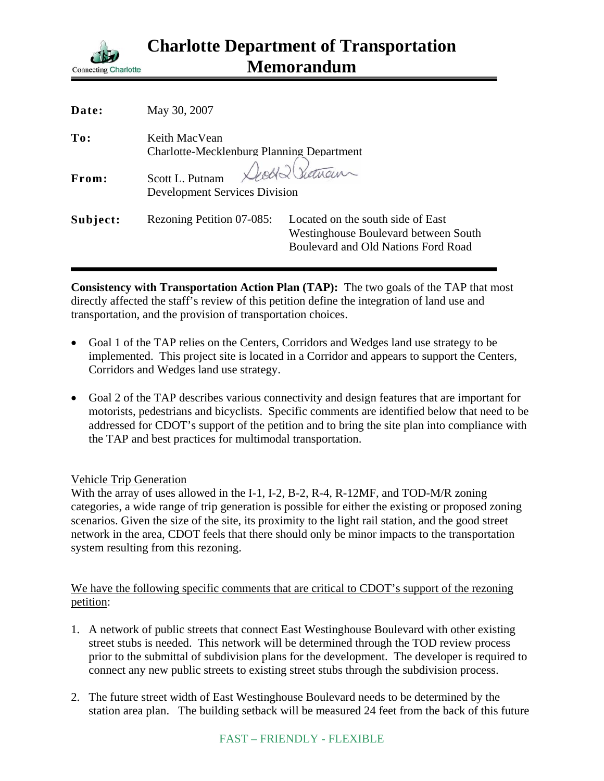

| Date:    | May 30, 2007                                                               |                                                                                                                  |
|----------|----------------------------------------------------------------------------|------------------------------------------------------------------------------------------------------------------|
| To:      | Keith MacVean<br>Charlotte-Mecklenburg Planning Department                 |                                                                                                                  |
| From:    | Seett & Sictual<br>Scott L. Putnam<br><b>Development Services Division</b> |                                                                                                                  |
| Subject: | Rezoning Petition 07-085:                                                  | Located on the south side of East<br>Westinghouse Boulevard between South<br>Boulevard and Old Nations Ford Road |

**Consistency with Transportation Action Plan (TAP):** The two goals of the TAP that most directly affected the staff's review of this petition define the integration of land use and transportation, and the provision of transportation choices.

- Goal 1 of the TAP relies on the Centers, Corridors and Wedges land use strategy to be implemented. This project site is located in a Corridor and appears to support the Centers, Corridors and Wedges land use strategy.
- Goal 2 of the TAP describes various connectivity and design features that are important for motorists, pedestrians and bicyclists. Specific comments are identified below that need to be addressed for CDOT's support of the petition and to bring the site plan into compliance with the TAP and best practices for multimodal transportation.

## Vehicle Trip Generation

With the array of uses allowed in the I-1, I-2, B-2, R-4, R-12MF, and TOD-M/R zoning categories, a wide range of trip generation is possible for either the existing or proposed zoning scenarios. Given the size of the site, its proximity to the light rail station, and the good street network in the area, CDOT feels that there should only be minor impacts to the transportation system resulting from this rezoning.

## We have the following specific comments that are critical to CDOT's support of the rezoning petition:

- 1. A network of public streets that connect East Westinghouse Boulevard with other existing street stubs is needed. This network will be determined through the TOD review process prior to the submittal of subdivision plans for the development. The developer is required to connect any new public streets to existing street stubs through the subdivision process.
- 2. The future street width of East Westinghouse Boulevard needs to be determined by the station area plan. The building setback will be measured 24 feet from the back of this future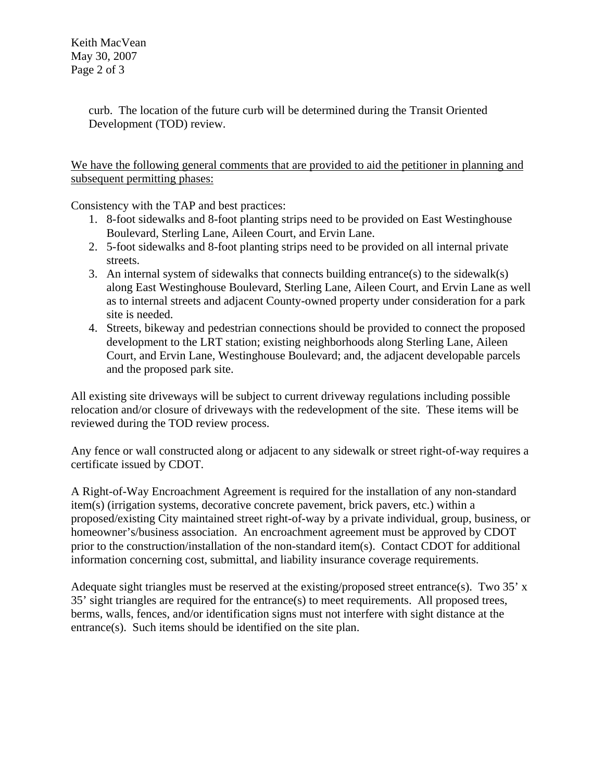Keith MacVean May 30, 2007 Page 2 of 3

> curb. The location of the future curb will be determined during the Transit Oriented Development (TOD) review.

We have the following general comments that are provided to aid the petitioner in planning and subsequent permitting phases:

Consistency with the TAP and best practices:

- 1. 8-foot sidewalks and 8-foot planting strips need to be provided on East Westinghouse Boulevard, Sterling Lane, Aileen Court, and Ervin Lane.
- 2. 5-foot sidewalks and 8-foot planting strips need to be provided on all internal private streets.
- 3. An internal system of sidewalks that connects building entrance(s) to the sidewalk(s) along East Westinghouse Boulevard, Sterling Lane, Aileen Court, and Ervin Lane as well as to internal streets and adjacent County-owned property under consideration for a park site is needed.
- 4. Streets, bikeway and pedestrian connections should be provided to connect the proposed development to the LRT station; existing neighborhoods along Sterling Lane, Aileen Court, and Ervin Lane, Westinghouse Boulevard; and, the adjacent developable parcels and the proposed park site.

All existing site driveways will be subject to current driveway regulations including possible relocation and/or closure of driveways with the redevelopment of the site. These items will be reviewed during the TOD review process.

Any fence or wall constructed along or adjacent to any sidewalk or street right-of-way requires a certificate issued by CDOT.

A Right-of-Way Encroachment Agreement is required for the installation of any non-standard item(s) (irrigation systems, decorative concrete pavement, brick pavers, etc.) within a proposed/existing City maintained street right-of-way by a private individual, group, business, or homeowner's/business association. An encroachment agreement must be approved by CDOT prior to the construction/installation of the non-standard item(s). Contact CDOT for additional information concerning cost, submittal, and liability insurance coverage requirements.

Adequate sight triangles must be reserved at the existing/proposed street entrance(s). Two 35' x 35' sight triangles are required for the entrance(s) to meet requirements. All proposed trees, berms, walls, fences, and/or identification signs must not interfere with sight distance at the entrance(s). Such items should be identified on the site plan.